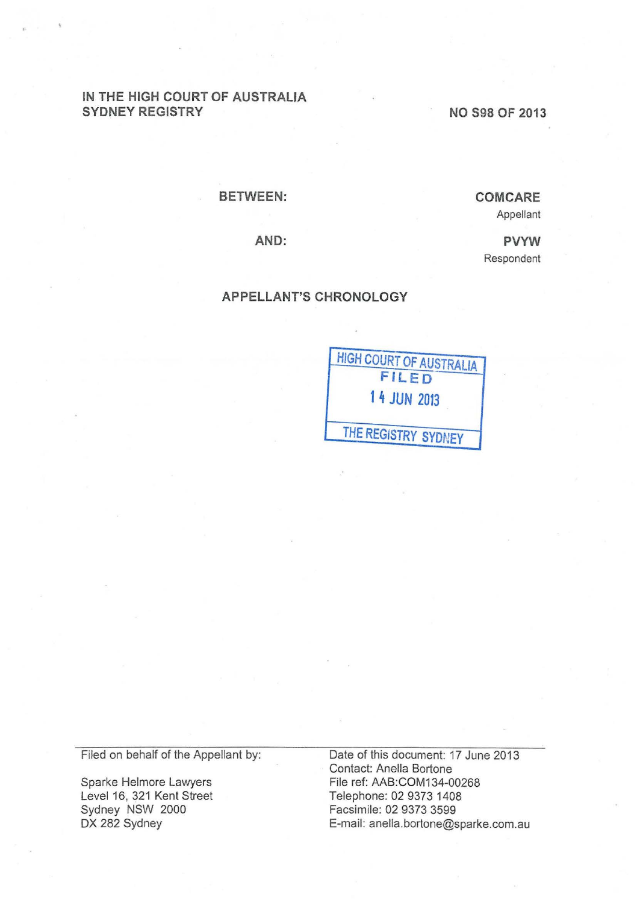## IN THE HIGH COURT OF AUSTRALIA SYDNEY REGISTRY

NO S98 OF 2013

BETWEEN:

**COM CARE** Appellant

> PVYW Respondent

AND:

## APPELLANT'S CHRONOLOGY



Filed on behalf of the Appellant by:

Sparke Helmore Lawyers Level 16, 321 Kent Street Sydney NSW 2000 DX 282 Sydney

Date of this document: 17 June 2013 Contact: Anella Bertone File ref: AAB:COM134-00268 Telephone: 02 9373 1408 Facsimile: 02 9373 3599 E-mail: anella.bortone@sparke.com.au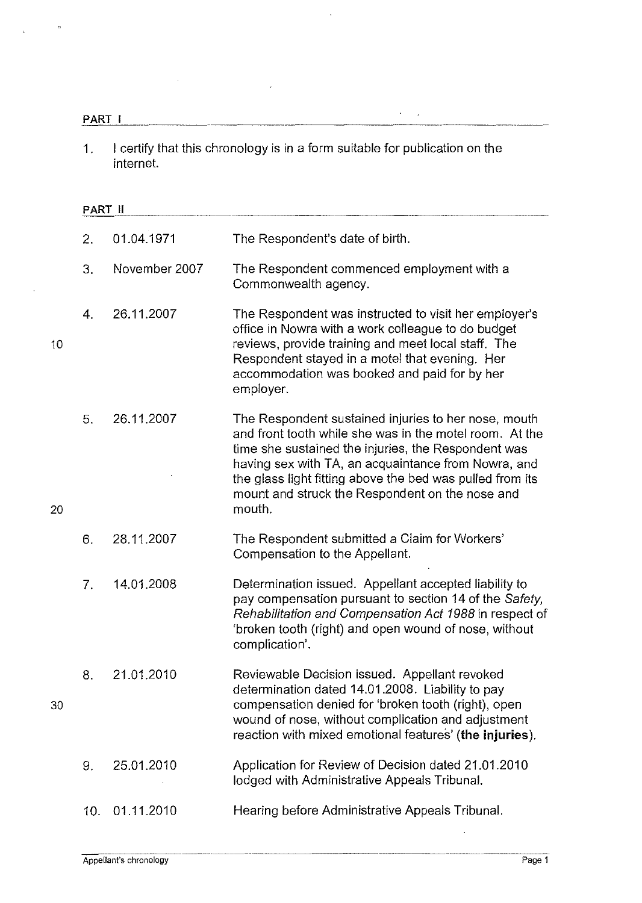|    | PART I         |                                                                                                     |                                                                                                                                                                                                                                                                                                                                                         |  |
|----|----------------|-----------------------------------------------------------------------------------------------------|---------------------------------------------------------------------------------------------------------------------------------------------------------------------------------------------------------------------------------------------------------------------------------------------------------------------------------------------------------|--|
|    | 1.             | I certify that this chronology is in a form suitable for publication on the<br>internet.<br>PART II |                                                                                                                                                                                                                                                                                                                                                         |  |
|    |                |                                                                                                     |                                                                                                                                                                                                                                                                                                                                                         |  |
|    | 2.             | 01.04.1971                                                                                          | The Respondent's date of birth.                                                                                                                                                                                                                                                                                                                         |  |
|    | 3.             | November 2007                                                                                       | The Respondent commenced employment with a<br>Commonwealth agency.                                                                                                                                                                                                                                                                                      |  |
| 10 | 4.             | 26.11.2007                                                                                          | The Respondent was instructed to visit her employer's<br>office in Nowra with a work colleague to do budget<br>reviews, provide training and meet local staff. The<br>Respondent stayed in a motel that evening. Her<br>accommodation was booked and paid for by her<br>employer.                                                                       |  |
| 20 | 5.             | 26.11.2007                                                                                          | The Respondent sustained injuries to her nose, mouth<br>and front tooth while she was in the motel room. At the<br>time she sustained the injuries, the Respondent was<br>having sex with TA, an acquaintance from Nowra, and<br>the glass light fitting above the bed was pulled from its<br>mount and struck the Respondent on the nose and<br>mouth. |  |
|    | 6.             | 28.11.2007                                                                                          | The Respondent submitted a Claim for Workers'<br>Compensation to the Appellant.                                                                                                                                                                                                                                                                         |  |
|    | 7 <sub>1</sub> | 14.01.2008                                                                                          | Determination issued. Appellant accepted liability to<br>pay compensation pursuant to section 14 of the Safety,<br>Rehabilitation and Compensation Act 1988 in respect of<br>'broken tooth (right) and open wound of nose, without<br>complication'.                                                                                                    |  |
| 30 | 8.             | 21.01.2010                                                                                          | Reviewable Decision issued. Appellant revoked<br>determination dated 14.01.2008. Liability to pay<br>compensation denied for 'broken tooth (right), open<br>wound of nose, without complication and adjustment<br>reaction with mixed emotional features' (the injuries).                                                                               |  |
|    | 9.             | 25.01.2010                                                                                          | Application for Review of Decision dated 21.01.2010<br>lodged with Administrative Appeals Tribunal.                                                                                                                                                                                                                                                     |  |
|    | 10.            | 01.11.2010                                                                                          | Hearing before Administrative Appeals Tribunal.                                                                                                                                                                                                                                                                                                         |  |

 $\hat{\mathcal{S}}$ 

 $\hat{\mathcal{A}}$ 

·--·-··-------·-· ~~-

 $\hat{\mathcal{L}}$ 

 $\mathbf{z}_3$ 

 $\ddot{\phantom{a}}$